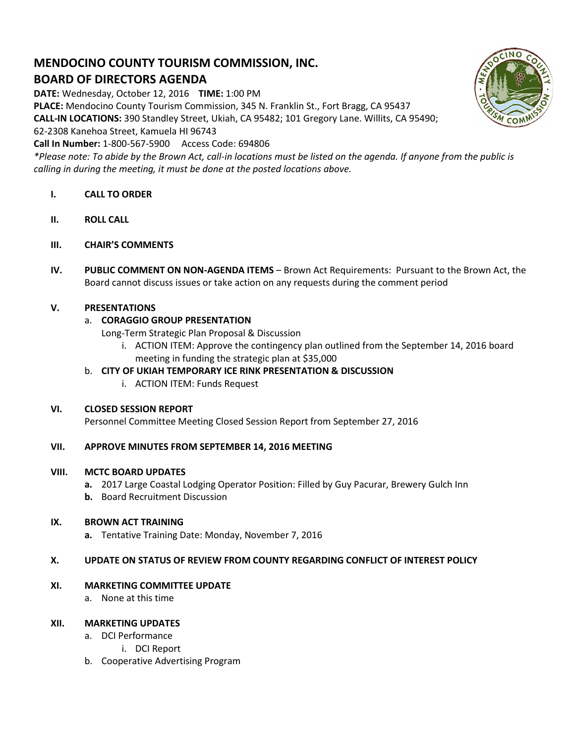# **MENDOCINO COUNTY TOURISM COMMISSION, INC. BOARD OF DIRECTORS AGENDA**

**DATE:** Wednesday, October 12, 2016 **TIME:** 1:00 PM

**PLACE:** Mendocino County Tourism Commission, 345 N. Franklin St., Fort Bragg, CA 95437

**CALL-IN LOCATIONS:** 390 Standley Street, Ukiah, CA 95482; 101 Gregory Lane. Willits, CA 95490;

62-2308 Kanehoa Street, Kamuela HI 96743

**Call In Number:** 1-800-567-5900 Access Code: 694806

*\*Please note: To abide by the Brown Act, call-in locations must be listed on the agenda. If anyone from the public is calling in during the meeting, it must be done at the posted locations above.*

- **I. CALL TO ORDER**
- **II. ROLL CALL**
- **III. CHAIR'S COMMENTS**
- **IV. PUBLIC COMMENT ON NON-AGENDA ITEMS** Brown Act Requirements: Pursuant to the Brown Act, the Board cannot discuss issues or take action on any requests during the comment period

## **V. PRESENTATIONS**

# a. **CORAGGIO GROUP PRESENTATION**

Long-Term Strategic Plan Proposal & Discussion

i. ACTION ITEM: Approve the contingency plan outlined from the September 14, 2016 board meeting in funding the strategic plan at \$35,000

## b. **CITY OF UKIAH TEMPORARY ICE RINK PRESENTATION & DISCUSSION**

i. ACTION ITEM: Funds Request

## **VI. CLOSED SESSION REPORT**

Personnel Committee Meeting Closed Session Report from September 27, 2016

## **VII. APPROVE MINUTES FROM SEPTEMBER 14, 2016 MEETING**

## **VIII. MCTC BOARD UPDATES**

- **a.** 2017 Large Coastal Lodging Operator Position: Filled by Guy Pacurar, Brewery Gulch Inn
- **b.** Board Recruitment Discussion

## **IX. BROWN ACT TRAINING**

**a.** Tentative Training Date: Monday, November 7, 2016

## **X. UPDATE ON STATUS OF REVIEW FROM COUNTY REGARDING CONFLICT OF INTEREST POLICY**

## **XI. MARKETING COMMITTEE UPDATE**

a. None at this time

## **XII. MARKETING UPDATES**

- a. DCI Performance
	- i. DCI Report
- b. Cooperative Advertising Program